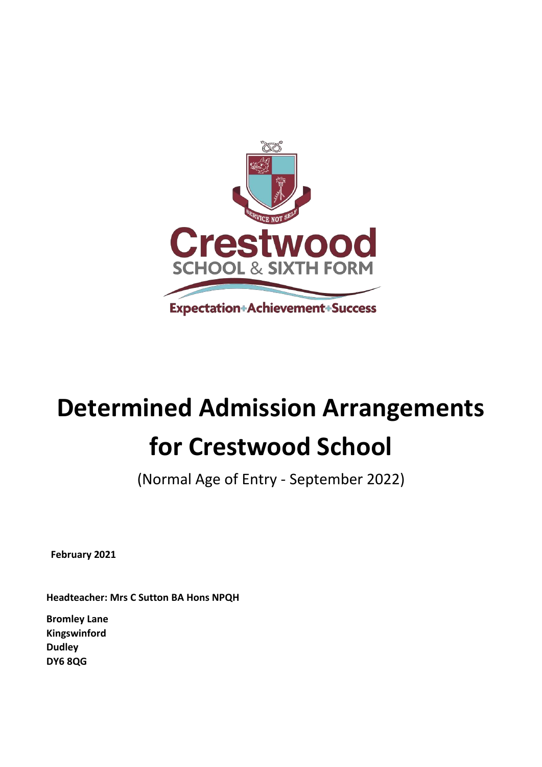

# **Determined Admission Arrangements for Crestwood School**

(Normal Age of Entry - September 2022)

**February 2021**

**Headteacher: Mrs C Sutton BA Hons NPQH** 

**Bromley Lane Kingswinford Dudley DY6 8QG**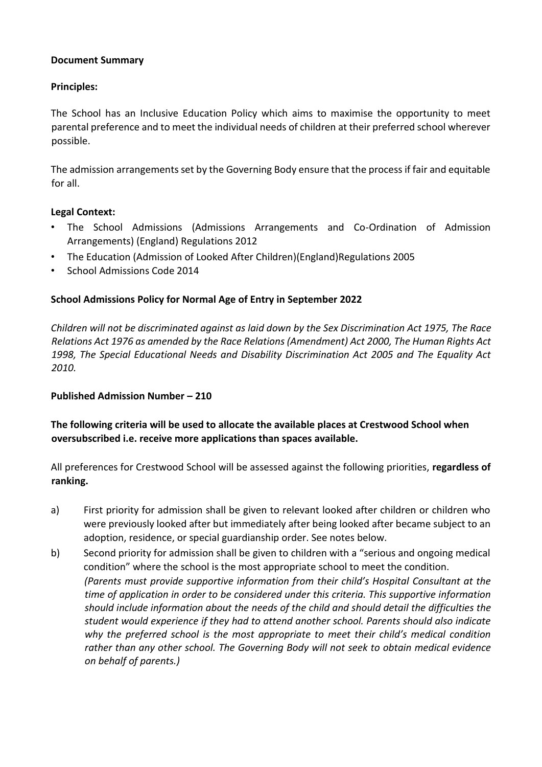## **Document Summary**

## **Principles:**

The School has an Inclusive Education Policy which aims to maximise the opportunity to meet parental preference and to meet the individual needs of children at their preferred school wherever possible.

The admission arrangements set by the Governing Body ensure that the process if fair and equitable for all.

## **Legal Context:**

- The School Admissions (Admissions Arrangements and Co-Ordination of Admission Arrangements) (England) Regulations 2012
- The Education (Admission of Looked After Children)(England)Regulations 2005
- School Admissions Code 2014

## **School Admissions Policy for Normal Age of Entry in September 2022**

*Children will not be discriminated against as laid down by the Sex Discrimination Act 1975, The Race Relations Act 1976 as amended by the Race Relations (Amendment) Act 2000, The Human Rights Act 1998, The Special Educational Needs and Disability Discrimination Act 2005 and The Equality Act 2010.* 

## **Published Admission Number – 210**

# **The following criteria will be used to allocate the available places at Crestwood School when oversubscribed i.e. receive more applications than spaces available.**

All preferences for Crestwood School will be assessed against the following priorities, **regardless of ranking.** 

- a) First priority for admission shall be given to relevant looked after children or children who were previously looked after but immediately after being looked after became subject to an adoption, residence, or special guardianship order. See notes below.
- b) Second priority for admission shall be given to children with a "serious and ongoing medical condition" where the school is the most appropriate school to meet the condition. *(Parents must provide supportive information from their child's Hospital Consultant at the time of application in order to be considered under this criteria. This supportive information should include information about the needs of the child and should detail the difficulties the student would experience if they had to attend another school. Parents should also indicate why the preferred school is the most appropriate to meet their child's medical condition rather than any other school. The Governing Body will not seek to obtain medical evidence on behalf of parents.)*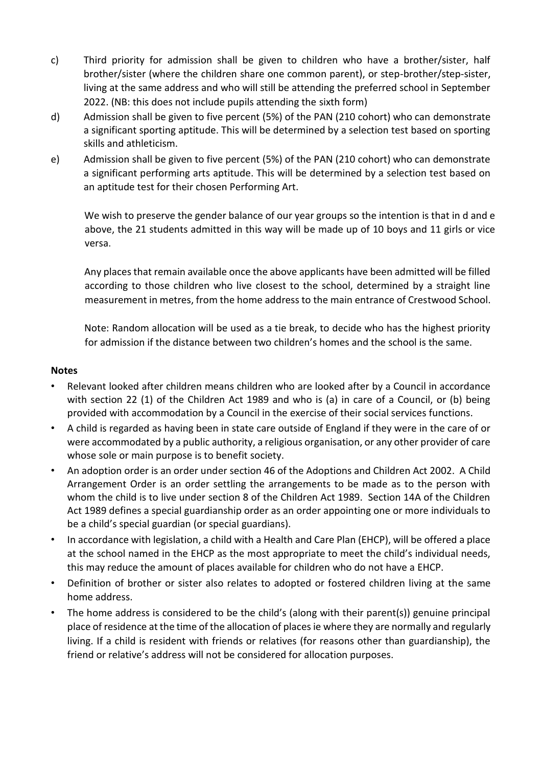- c) Third priority for admission shall be given to children who have a brother/sister, half brother/sister (where the children share one common parent), or step-brother/step-sister, living at the same address and who will still be attending the preferred school in September 2022. (NB: this does not include pupils attending the sixth form)
- d) Admission shall be given to five percent (5%) of the PAN (210 cohort) who can demonstrate a significant sporting aptitude. This will be determined by a selection test based on sporting skills and athleticism.
- e) Admission shall be given to five percent (5%) of the PAN (210 cohort) who can demonstrate a significant performing arts aptitude. This will be determined by a selection test based on an aptitude test for their chosen Performing Art.

We wish to preserve the gender balance of our year groups so the intention is that in d and e above, the 21 students admitted in this way will be made up of 10 boys and 11 girls or vice versa.

Any places that remain available once the above applicants have been admitted will be filled according to those children who live closest to the school, determined by a straight line measurement in metres, from the home address to the main entrance of Crestwood School.

Note: Random allocation will be used as a tie break, to decide who has the highest priority for admission if the distance between two children's homes and the school is the same.

#### **Notes**

- Relevant looked after children means children who are looked after by a Council in accordance with section 22 (1) of the Children Act 1989 and who is (a) in care of a Council, or (b) being provided with accommodation by a Council in the exercise of their social services functions.
- A child is regarded as having been in state care outside of England if they were in the care of or were accommodated by a public authority, a religious organisation, or any other provider of care whose sole or main purpose is to benefit society.
- An adoption order is an order under section 46 of the Adoptions and Children Act 2002. A Child Arrangement Order is an order settling the arrangements to be made as to the person with whom the child is to live under section 8 of the Children Act 1989. Section 14A of the Children Act 1989 defines a special guardianship order as an order appointing one or more individuals to be a child's special guardian (or special guardians).
- In accordance with legislation, a child with a Health and Care Plan (EHCP), will be offered a place at the school named in the EHCP as the most appropriate to meet the child's individual needs, this may reduce the amount of places available for children who do not have a EHCP.
- Definition of brother or sister also relates to adopted or fostered children living at the same home address.
- The home address is considered to be the child's (along with their parent(s)) genuine principal place of residence at the time of the allocation of places ie where they are normally and regularly living. If a child is resident with friends or relatives (for reasons other than guardianship), the friend or relative's address will not be considered for allocation purposes.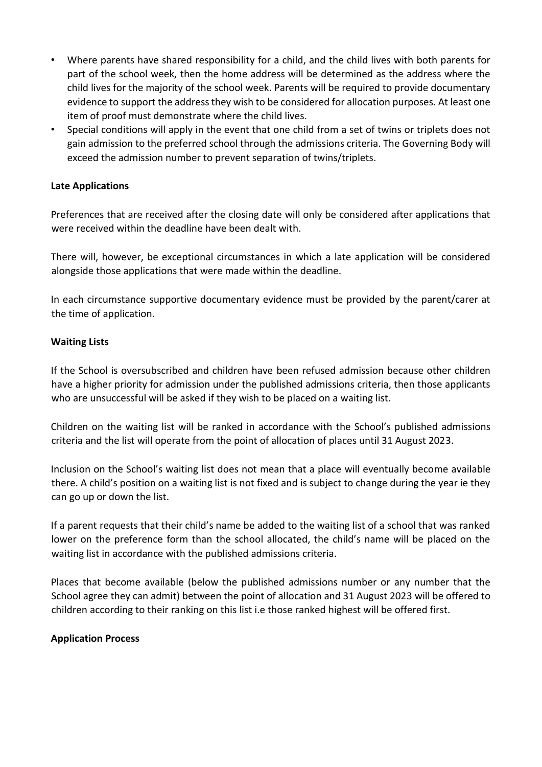- Where parents have shared responsibility for a child, and the child lives with both parents for part of the school week, then the home address will be determined as the address where the child lives for the majority of the school week. Parents will be required to provide documentary evidence to support the address they wish to be considered for allocation purposes. At least one item of proof must demonstrate where the child lives.
- Special conditions will apply in the event that one child from a set of twins or triplets does not gain admission to the preferred school through the admissions criteria. The Governing Body will exceed the admission number to prevent separation of twins/triplets.

## **Late Applications**

Preferences that are received after the closing date will only be considered after applications that were received within the deadline have been dealt with.

There will, however, be exceptional circumstances in which a late application will be considered alongside those applications that were made within the deadline.

In each circumstance supportive documentary evidence must be provided by the parent/carer at the time of application.

#### **Waiting Lists**

If the School is oversubscribed and children have been refused admission because other children have a higher priority for admission under the published admissions criteria, then those applicants who are unsuccessful will be asked if they wish to be placed on a waiting list.

Children on the waiting list will be ranked in accordance with the School's published admissions criteria and the list will operate from the point of allocation of places until 31 August 2023.

Inclusion on the School's waiting list does not mean that a place will eventually become available there. A child's position on a waiting list is not fixed and is subject to change during the year ie they can go up or down the list.

If a parent requests that their child's name be added to the waiting list of a school that was ranked lower on the preference form than the school allocated, the child's name will be placed on the waiting list in accordance with the published admissions criteria.

Places that become available (below the published admissions number or any number that the School agree they can admit) between the point of allocation and 31 August 2023 will be offered to children according to their ranking on this list i.e those ranked highest will be offered first.

## **Application Process**